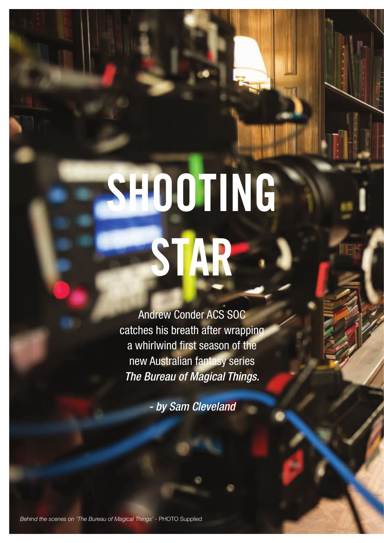# **SHOOTING STAR**

Andrew Conder ACS SOC catches his breath after wrapping a whirlwind first season of the new Australian fantasy series *The Bureau of Magical Things.*

*- by Sam Cleveland*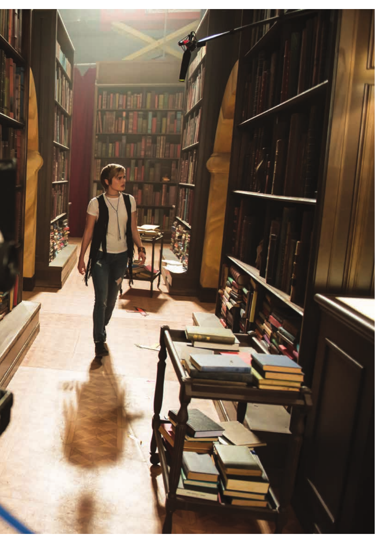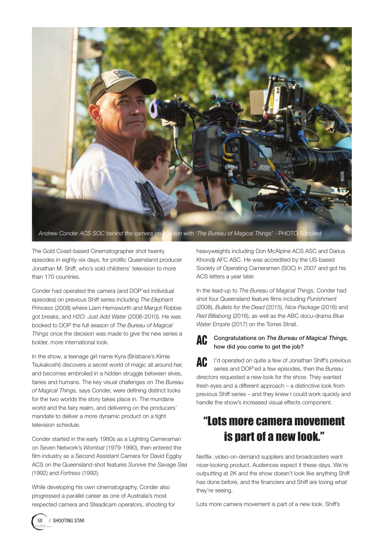

The Gold Coast-based Cinematographer shot twenty episodes in eighty-six days, for prolific Queensland producer Jonathan M. Shiff, who's sold childrens' television to more than 170 countries.

Conder had operated the camera (and DOP'ed individual episodes) on previous Shiff series including *The Elephant Princess* (2008) where Liam Hemsworth and Margot Robbie got breaks, and *H2O: Just Add Water* (2006-2010). He was booked to DOP the full season of *The Bureau of Magical Things* once the decision was made to give the new series a bolder, more international look.

In the show, a teenage girl name Kyra (Brisbane's Kimie Tsukakoshi) discovers a secret world of magic all around her, and becomes embroiled in a hidden struggle between elves, fairies and humans. The key visual challenges on *The Bureau of Magical Things,* says Conder, were defining distinct looks for the two worlds the story takes place in. The mundane world and the fairy realm, and delivering on the producers' mandate to deliver a more dynamic product on a tight television schedule.

Conder started in the early 1980s as a Lighting Cameraman on Seven Network's *Wombat* (1979-1990), then entered the film industry as a Second Assistant Camera for David Eggby ACS on the Queensland-shot features *Survive the Savage Sea* (1992) and *Fortress* (1992).

While developing his own cinematography, Conder also progressed a parallel career as one of Australia's most respected camera and Steadicam operators, shooting for heavyweights including Don McAlpine ACS ASC and Darius Khondji AFC ASC. He was accredited by the US-based Society of Operating Cameramen (SOC) in 2007 and got his ACS letters a year later.

In the lead-up to *The Bureau of Magical Things,* Conder had shot four Queensland feature films including *Punishment* (2008), *Bullets for the Dead* (2015), *Nice Package* (2016) and *Red Billabong* (2016), as well as the ABC docu-drama *Blue Water Empire* (2017) on the Torres Strait.

#### AC Congratulations on *The Bureau of Magical Things,*  how did you come to get the job?

AC I'd operated on quite a few of Jonathan Shiff's previous series and DOP'ed a few episodes, then the *Bureau* directors requested a new look for the show. They wanted fresh eyes and a different approach – a distinctive look from previous Shiff series – and they knew I could work quickly and handle the show's increased visual effects component.

# "Lots more camera movement is part of a new look."

Netflix ,video-on-demand suppliers and broadcasters want nicer-looking product. Audiences expect it these days. We're outputting at 2K and the show doesn't look like anything Shiff has done before, and the financiers and Shiff are loving what they're seeing.

Lots more camera movement is part of a new look. Shiff's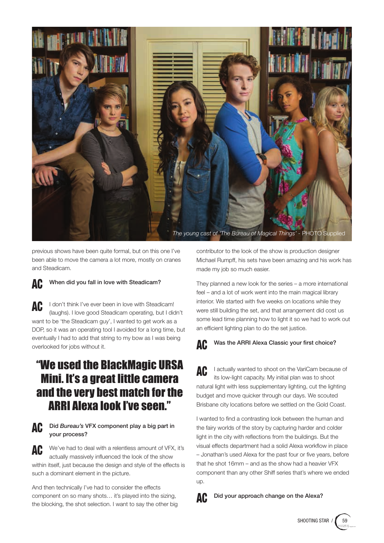

previous shows have been quite formal, but on this one I've been able to move the camera a lot more, mostly on cranes and Steadicam.



#### AC When did you fall in love with Steadicam?

AC I don't think I've ever been in love with Steadicam! (laughs). I love good Steadicam operating, but I didn't want to be 'the Steadicam guy', I wanted to get work as a DOP, so it was an operating tool I avoided for a long time, but eventually I had to add that string to my bow as I was being overlooked for jobs without it.

# "We used the BlackMagic URSA Mini. It's a great little camera and the very best match for the ARRI Alexa look I've seen."

#### Did *Bureau's* VFX component play a big part in your process?

AC We've had to deal with a relentless amount of VFX, it's actually massively influenced the look of the show within itself, just because the design and style of the effects is such a dominant element in the picture.

And then technically I've had to consider the effects component on so many shots… it's played into the sizing, the blocking, the shot selection. I want to say the other big contributor to the look of the show is production designer Michael Rumpff, his sets have been amazing and his work has made my job so much easier.

They planned a new look for the series – a more international feel – and a lot of work went into the main magical library interior. We started with five weeks on locations while they were still building the set, and that arrangement did cost us some lead time planning how to light it so we had to work out an efficient lighting plan to do the set justice.

### AC Was the ARRI Alexa Classic your first choice?

**AC** I actually wanted to shoot on the VariCam because of its low-light capacity. My initial plan was to shoot natural light with less supplementary lighting, cut the lighting budget and move quicker through our days. We scouted Brisbane city locations before we settled on the Gold Coast.

I wanted to find a contrasting look between the human and the fairy worlds of the story by capturing harder and colder light in the city with reflections from the buildings. But the visual effects department had a solid Alexa workflow in place – Jonathan's used Alexa for the past four or five years, before that he shot 16mm – and as the show had a heavier VFX component than any other Shiff series that's where we ended up.

AC Did your approach change on the Alexa?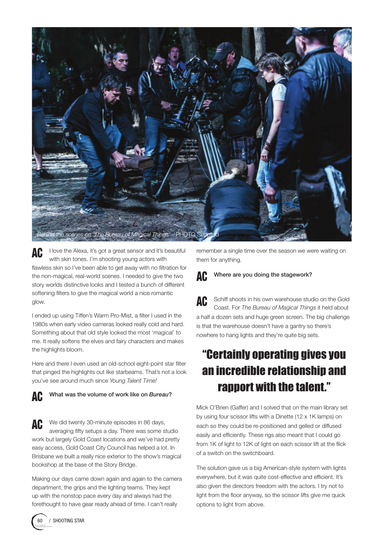

**AC** I love the Alexa, it's got a great sensor and it's beautiful with skin tones. I'm shooting young actors with flawless skin so I've been able to get away with no filtration for the non-magical, real-world scenes. I needed to give the two story worlds distinctive looks and I tested a bunch of different softening filters to give the magical world a nice romantic glow.

I ended up using Tiffen's Warm Pro-Mist, a filter I used in the 1980s when early video cameras looked really cold and hard. Something about that old style looked the most 'magical' to me. It really softens the elves and fairy characters and makes the highlights bloom.

Here and there I even used an old-school eight-point star filter that pinged the highlights out like starbeams. That's not a look you've see around much since *Young Talent Time!*



AC We did twenty 30-minute episodes in 86 days, averaging fifty setups a day. There was some studio work but largely Gold Coast locations and we've had pretty easy access, Gold Coast City Council has helped a lot. In Brisbane we built a really nice exterior to the show's magical bookshop at the base of the Story Bridge.

Making our days came down again and again to the camera department, the grips and the lighting teams. They kept up with the nonstop pace every day and always had the forethought to have gear ready ahead of time. I can't really

remember a single time over the season we were waiting on them for anything.



#### **AC** Where are you doing the stagework?

AC Schiff shoots in his own warehouse studio on the Gold Coast. For *The Bureau of Magical Things* it held about a half a dozen sets and huge green screen. The big challenge is that the warehouse doesn't have a gantry so there's nowhere to hang lights and they're quite big sets.

# "Certainly operating gives you an incredible relationship and rapport with the talent."

Mick O'Brien (Gaffer) and I solved that on the main library set by using four scissor lifts with a Dinette (12 x 1K lamps) on each so they could be re-positioned and gelled or diffused easily and efficiently. These rigs also meant that I could go from 1K of light to 12K of light on each scissor lift at the flick of a switch on the switchboard.

The solution gave us a big American-style system with lights everywhere, but it was quite cost-effective and efficient. It's also given the directors freedom with the actors. I try not to light from the floor anyway, so the scissor lifts give me quick options to light from above.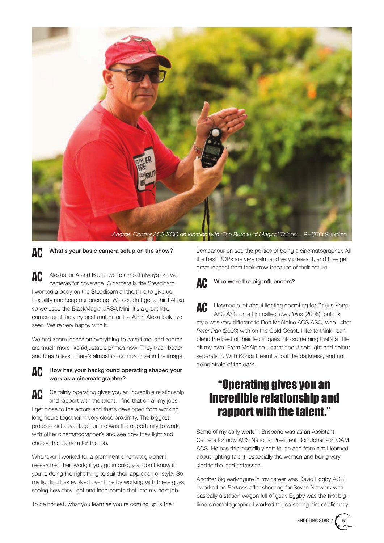

#### **AC** What's your basic camera setup on the show?

AC Alexas for A and B and we're almost always on two cameras for coverage. C camera is the Steadicam. I wanted a body on the Steadicam all the time to give us flexibility and keep our pace up. We couldn't get a third Alexa so we used the BlackMagic URSA Mini. It's a great little camera and the very best match for the ARRI Alexa look I've seen. We're very happy with it.

We had zoom lenses on everything to save time, and zooms are much more like adjustable primes now. They track better and breath less. There's almost no compromise in the image.

#### AC How has your background operating shaped your work as a cinematographer?

**AC** Certainly operating gives you an incredible relationship and rapport with the talent. I find that on all my jobs I get close to the actors and that's developed from working long hours together in very close proximity. The biggest professional advantage for me was the opportunity to work with other cinematographer's and see how they light and choose the camera for the job.

Whenever I worked for a prominent cinematographer I researched their work; if you go in cold, you don't know if you're doing the right thing to suit their approach or style. So my lighting has evolved over time by working with these guys, seeing how they light and incorporate that into my next job.

To be honest, what you learn as you're coming up is their

demeanour on set, the politics of being a cinematographer. All the best DOPs are very calm and very pleasant, and they get great respect from their crew because of their nature.

#### **AC** Who were the big influencers?

**AC** I learned a lot about lighting operating for Darius Kondji AFC ASC on a film called *The Ruins* (2008), but his style was very different to Don McAlpine ACS ASC, who I shot *Peter Pan* (2003) with on the Gold Coast. I like to think I can blend the best of their techniques into something that's a little bit my own. From McAlpine I learnt about soft light and colour separation. With Kondji I learnt about the darkness, and not being afraid of the dark.

# "Operating gives you an incredible relationship and rapport with the talent."

Some of my early work in Brisbane was as an Assistant Camera for now ACS National President Ron Johanson OAM ACS. He has this incredibly soft touch and from him I learned about lighting talent, especially the women and being very kind to the lead actresses.

Another big early figure in my career was David Eggby ACS. I worked on *Fortress* after shooting for Seven Network with basically a station wagon full of gear. Eggby was the first bigtime cinematographer I worked for, so seeing him confidently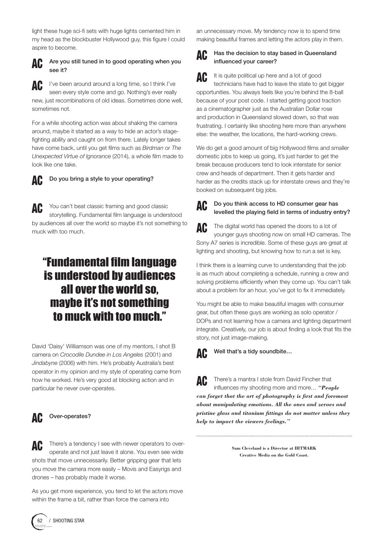light these huge sci-fi sets with huge lights cemented him in my head as the blockbuster Hollywood guy, this figure I could aspire to become.



#### Are you still tuned in to good operating when you see it?

AC I've been around around a long time, so I think I've seen every style come and go. Nothing's ever really new, just recombinations of old ideas. Sometimes done well, sometimes not.

For a while shooting action was about shaking the camera around, maybe it started as a way to hide an actor's stagefighting ability and caught on from there. Lately longer takes have come back, until you get films such as *Birdman* or *The Unexpected Virtue of Ignorance* (2014), a whole film made to look like one take.



Do you bring a style to your operating?

**AC** You can't beat classic framing and good classic storytelling. Fundamental film language is understood by audiences all over the world so maybe it's not something to muck with too much.

# "Fundamental film language is understood by audiences all over the world so, maybe it's not something to muck with too much."

David 'Daisy' Williamson was one of my mentors, I shot B camera on *Crocodile Dundee in Los Angeles* (2001) and *Jindabyne* (2006) with him. He's probably Australia's best operator in my opinion and my style of operating came from how he worked. He's very good at blocking action and in particular he never over-operates.

## AC Over-operates?

**AC** There's a tendency I see with newer operators to overoperate and not just leave it alone. You even see wide shots that move unnecessarily. Better gripping gear that lets you move the camera more easily – Movis and Easyrigs and drones – has probably made it worse.

As you get more experience, you tend to let the actors move within the frame a bit, rather than force the camera into

an unnecessary move. My tendency now is to spend time making beautiful frames and letting the actors play in them.

#### **AC** Has the decision to stay based in Queensland influenced your career?

AC It is quite political up here and a lot of good technicians have had to leave the state to get bigger opportunities. You always feels like you're behind the 8-ball because of your post code. I started getting good traction as a cinematographer just as the Australian Dollar rose and production in Queensland slowed down, so that was frustrating. I certainly like shooting here more than anywhere else: the weather, the locations, the hard-working crews.

We do get a good amount of big Hollywood films and smaller domestic jobs to keep us going, it's just harder to get the break because producers tend to look interstate for senior crew and heads of department. Then it gets harder and harder as the credits stack up for interstate crews and they're booked on subsequent big jobs.

**AC** Do you think access to HD consumer gear has levelled the playing field in terms of industry entry?

AC The digital world has opened the doors to a lot of younger guys shooting now on small HD cameras. The Sony A7 series is incredible. Some of these guys are great at lighting and shooting, but knowing how to run a set is key.

I think there is a learning curve to understanding that the job is as much about completing a schedule, running a crew and solving problems efficiently when they come up. You can't talk about a problem for an hour, you've got to fix it immediately.

You might be able to make beautiful images with consumer gear, but often these guys are working as solo operator / DOPs and not learning how a camera and lighting department integrate. Creatively, our job is about finding a look that fits the story, not just image-making.



**AC** There's a mantra I stole from David Fincher that influences my shooting more and more… *"People can forget that the art of photography is first and foremost about manipulating emotions. All the ones and zeroes and pristine glass and titanium fittings do not matter unless they help to impact the viewers feelings."*

> **Sam Cleveland is a Director at HITMARK Creative Media on the Gold Coast.**